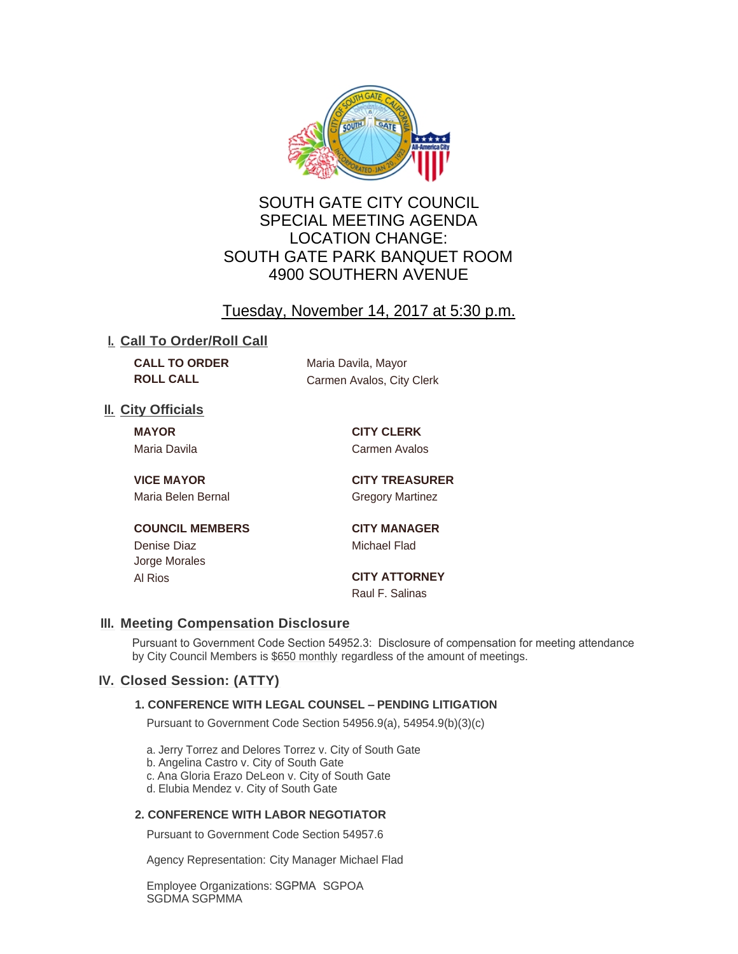

# SOUTH GATE CITY COUNCIL SPECIAL MEETING AGENDA LOCATION CHANGE: SOUTH GATE PARK BANQUET ROOM 4900 SOUTHERN AVENUE

# Tuesday, November 14, 2017 at 5:30 p.m.

### **I. Call To Order/Roll Call**

**CALL TO ORDER** Maria Davila, Mayor

**ROLL CALL** Carmen Avalos, City Clerk

## **II.** City Officials

**MAYOR CITY CLERK** Maria Davila **Carmen Avalos** 

Maria Belen Bernal Gregory Martinez

**VICE MAYOR CITY TREASURER**

### **COUNCIL MEMBERS CITY MANAGER**

Denise Diaz **Michael Flad** Jorge Morales

Al Rios **CITY ATTORNEY** Raul F. Salinas

# **Meeting Compensation Disclosure III.**

Pursuant to Government Code Section 54952.3: Disclosure of compensation for meeting attendance by City Council Members is \$650 monthly regardless of the amount of meetings.

# **Closed Session: (ATTY) IV.**

#### **1. CONFERENCE WITH LEGAL COUNSEL – PENDING LITIGATION**

Pursuant to Government Code Section 54956.9(a), 54954.9(b)(3)(c)

a. Jerry Torrez and Delores Torrez v. City of South Gate

b. Angelina Castro v. City of South Gate

c. Ana Gloria Erazo DeLeon v. City of South Gate

d. Elubia Mendez v. City of South Gate

### **2. CONFERENCE WITH LABOR NEGOTIATOR**

Pursuant to Government Code Section 54957.6

Agency Representation: City Manager Michael Flad

Employee Organizations: SGPMA SGPOA SGDMA SGPMMA